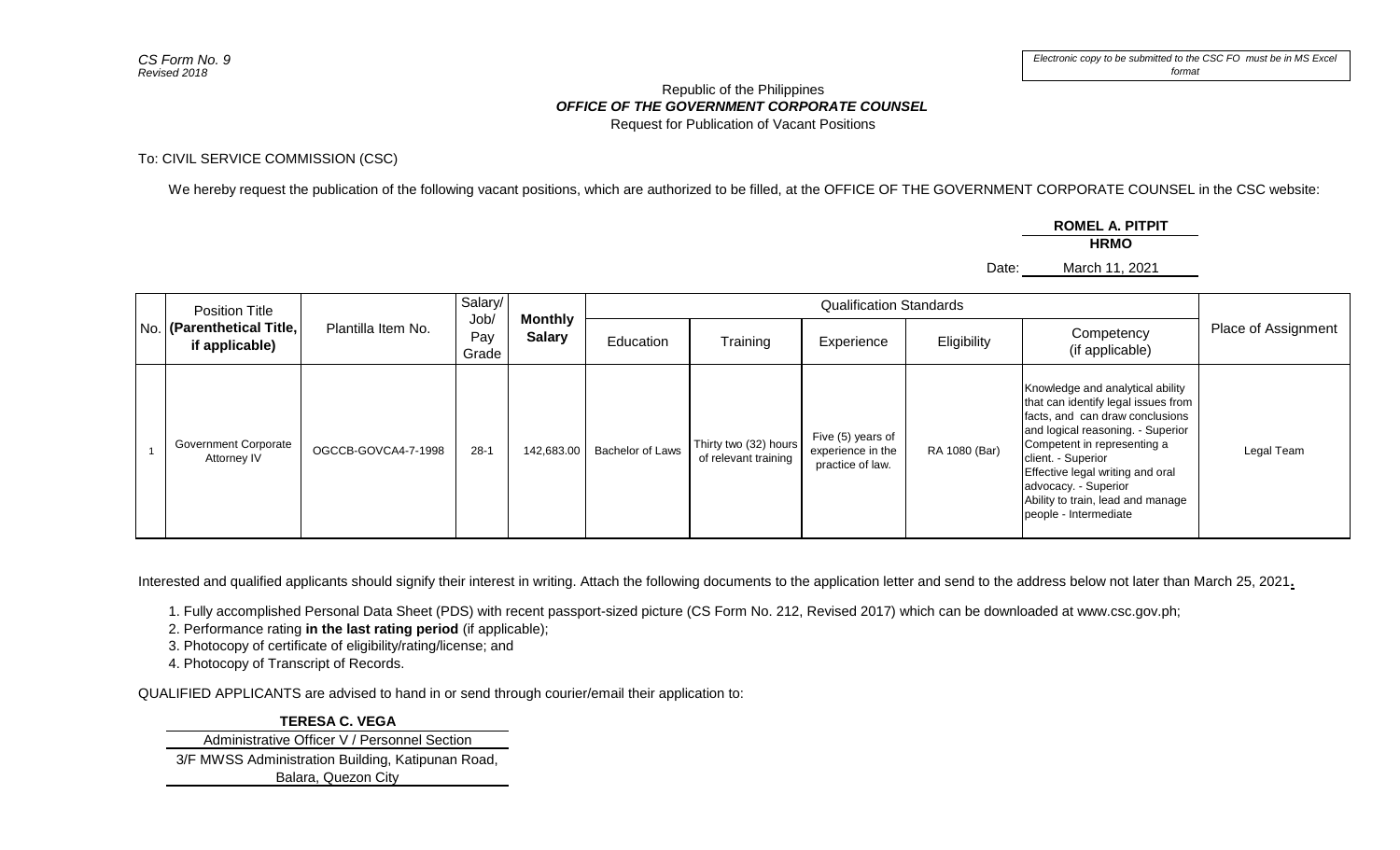## *OFFICE OF THE GOVERNMENT CORPORATE COUNSEL* Republic of the Philippines Request for Publication of Vacant Positions

To: CIVIL SERVICE COMMISSION (CSC)

We hereby request the publication of the following vacant positions, which are authorized to be filled, at the OFFICE OF THE GOVERNMENT CORPORATE COUNSEL in the CSC website:

**ROMEL A. PITPIT**

**HRMO**

Date: March 11, 2021

| Position Title<br>No. (Parenthetical Title,<br>if applicable) | Plantilla Item No.  | Salary/<br>Job<br>Pay<br>Grade | <b>Monthly</b><br><b>Salary</b> | <b>Qualification Standards</b> |                                               |                                                            |               |                                                                                                                                                                                                                                                                                                                              |                     |
|---------------------------------------------------------------|---------------------|--------------------------------|---------------------------------|--------------------------------|-----------------------------------------------|------------------------------------------------------------|---------------|------------------------------------------------------------------------------------------------------------------------------------------------------------------------------------------------------------------------------------------------------------------------------------------------------------------------------|---------------------|
|                                                               |                     |                                |                                 | Education                      | Training                                      | Experience                                                 | Eligibility   | Competency<br>(if applicable)                                                                                                                                                                                                                                                                                                | Place of Assignment |
| Government Corporate<br>Attorney IV                           | OGCCB-GOVCA4-7-1998 | $28-1$                         | 142,683.00                      | <b>Bachelor of Laws</b>        | Thirty two (32) hours<br>of relevant training | Five (5) years of<br>experience in the<br>practice of law. | RA 1080 (Bar) | Knowledge and analytical ability<br>that can identify legal issues from<br>facts, and can draw conclusions<br>and logical reasoning. Superior<br>Competent in representing a<br>client. - Superior<br>Effective legal writing and oral<br>advocacy. - Superior<br>Ability to train, lead and manage<br>people - Intermediate | Legal Team          |

Interested and qualified applicants should signify their interest in writing. Attach the following documents to the application letter and send to the address below not later than March 25, 2021**.**

1. Fully accomplished Personal Data Sheet (PDS) with recent passport-sized picture (CS Form No. 212, Revised 2017) which can be downloaded at www.csc.gov.ph;

2. Performance rating **in the last rating period** (if applicable);

3. Photocopy of certificate of eligibility/rating/license; and

4. Photocopy of Transcript of Records.

QUALIFIED APPLICANTS are advised to hand in or send through courier/email their application to:

## **TERESA C. VEGA**

Administrative Officer V / Personnel Section

3/F MWSS Administration Building, Katipunan Road, Balara, Quezon City